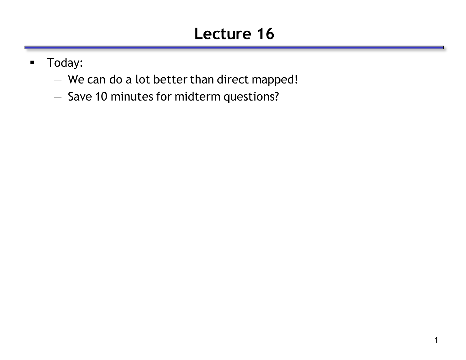# **Lecture 16**

- **Today:** 
	- We can do a lot better than direct mapped!
	- Save 10 minutes for midterm questions?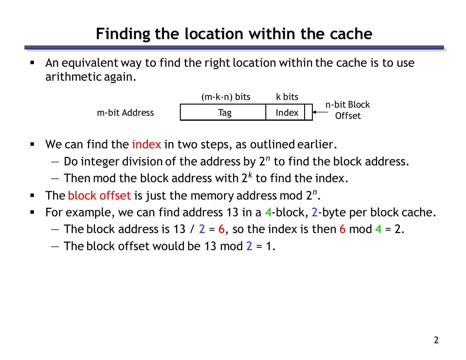## **Finding the location within the cache**

 An equivalent way to find the right location within the cache is to use arithmetic again.



- **We can find the index in two steps, as outlined earlier.** 
	- Do integer division of the address by 2*<sup>n</sup>* to find the block address.
	- Then mod the block address with 2*<sup>k</sup>* to find the index.
- **The block offset is just the memory address mod 2<sup>n</sup>.**
- For example, we can find address 13 in a  $4$ -block,  $2$ -byte per block cache.
	- The block address is 13 /  $2 = 6$ , so the index is then 6 mod 4 = 2.
	- $-$  The block offset would be 13 mod 2 = 1.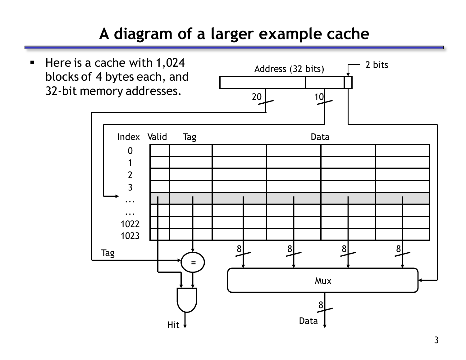## **A diagram of a larger example cache**

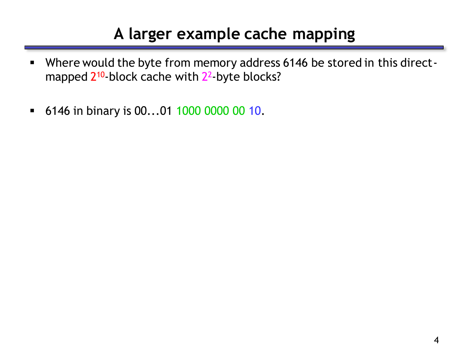### **A larger example cache mapping**

- Where would the byte from memory address 6146 be stored in this directmapped 2<sup>10</sup>-block cache with 2<sup>2</sup>-byte blocks?
- 6146 in binary is 00...01 1000 0000 00 10.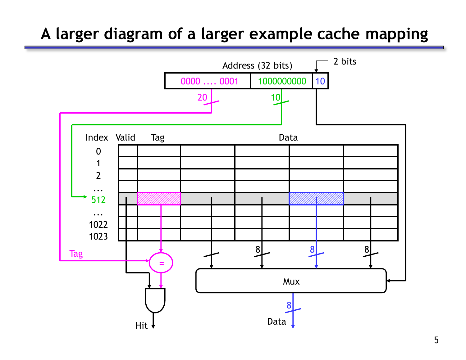#### **A larger diagram of a larger example cache mapping**

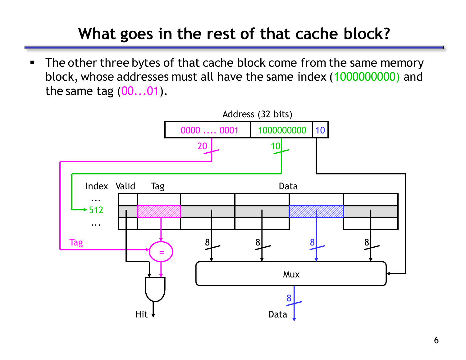## **What goes in the rest of that cache block?**

The other three bytes of that cache block come from the same memory block, whose addresses must all have the same index (1000000000) and the same tag  $(00...01)$ .

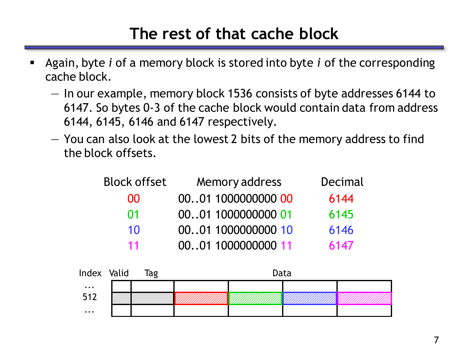#### **The rest of that cache block**

- Again, byte *i* of a memory block is stored into byte *i* of the corresponding cache block.
	- In our example, memory block 1536 consists of byte addresses 6144 to 6147. So bytes 0-3 of the cache block would contain data from address 6144, 6145, 6146 and 6147 respectively.
	- You can also look at the lowest 2 bits of the memory address to find the block offsets.

| <b>Block offset</b> | Memory address     | Decimal |
|---------------------|--------------------|---------|
| 00                  | 0001 1000000000 00 | 6144    |
| 01                  | 0001 1000000000 01 | 6145    |
| 10                  | 0001 1000000000 10 | 6146    |
| 11                  | 0001 1000000000 11 | 6147    |

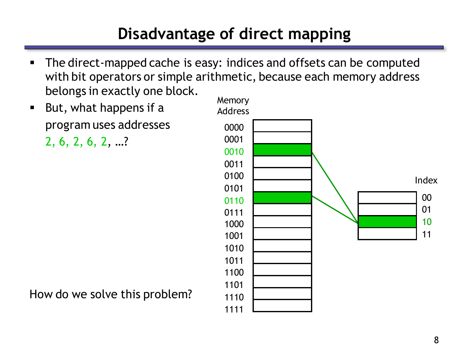# **Disadvantage of direct mapping**

- The direct-mapped cache is easy: indices and offsets can be computed with bit operators or simple arithmetic, because each memory address belongs in exactly one block.
- **But, what happens if a** program uses addresses

2, 6, 2, 6, 2, …?



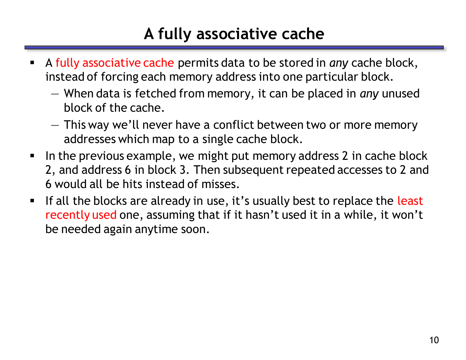## **A fully associative cache**

- A fully associative cache permits data to be stored in *any* cache block, instead of forcing each memory address into one particular block.
	- When data is fetched from memory, it can be placed in *any* unused block of the cache.
	- This way we'll never have a conflict between two or more memory addresses which map to a single cache block.
- In the previous example, we might put memory address 2 in cache block 2, and address 6 in block 3. Then subsequent repeated accesses to 2 and 6 would all be hits instead of misses.
- If all the blocks are already in use, it's usually best to replace the least recently used one, assuming that if it hasn't used it in a while, it won't be needed again anytime soon.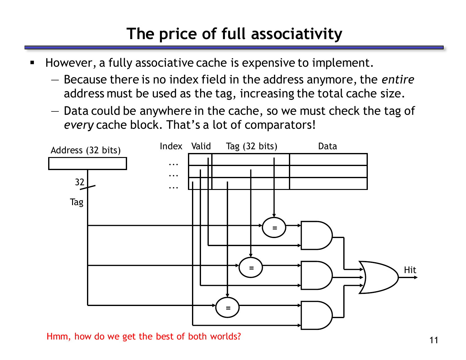# **The price of full associativity**

- **However, a fully associative cache is expensive to implement.** 
	- Because there is no index field in the address anymore, the *entire* address must be used as the tag, increasing the total cache size.
	- Data could be anywhere in the cache, so we must check the tag of *every* cache block. That's a lot of comparators!



Hmm, how do we get the best of both worlds?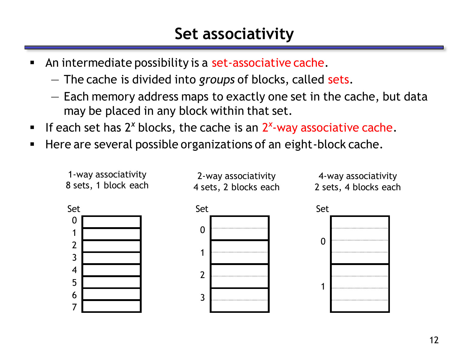- An intermediate possibility is a set-associative cache.
	- The cache is divided into *groups* of blocks, called sets.
	- Each memory address maps to exactly one set in the cache, but data may be placed in any block within that set.
- **If each set has 2<sup>x</sup> blocks, the cache is an 2<sup>x</sup>-way associative cache.**
- **Here are several possible organizations of an eight-block cache.**

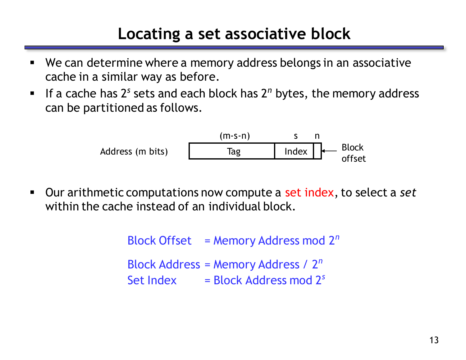#### **Locating a set associative block**

- We can determine where a memory address belongs in an associative cache in a similar way as before.
- If a cache has 2<sup>*s*</sup> sets and each block has 2<sup>n</sup> bytes, the memory address can be partitioned as follows.

Address (m bits) (m-s-n) s n Tag Index Block offset

 Our arithmetic computations now compute a set index, to select a *set* within the cache instead of an individual block.

> Block Offset = Memory Address mod 2*<sup>n</sup>* Block Address = Memory Address / 2*<sup>n</sup>* Set Index = Block Address mod 2<sup>s</sup>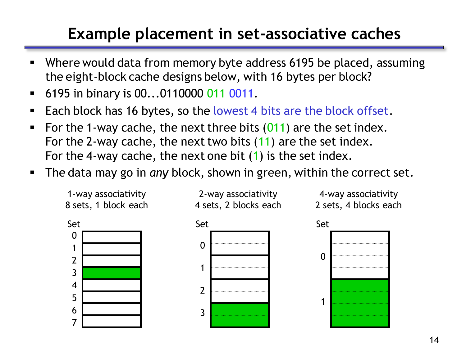## **Example placement in set-associative caches**

- Where would data from memory byte address 6195 be placed, assuming the eight-block cache designs below, with 16 bytes per block?
- **6195 in binary is 00...0110000 011 0011.**
- Each block has 16 bytes, so the lowest 4 bits are the block offset.
- For the 1-way cache, the next three bits  $(011)$  are the set index. For the 2-way cache, the next two bits (11) are the set index. For the 4-way cache, the next one bit (1) is the set index.
- The data may go in *any* block, shown in green, within the correct set.

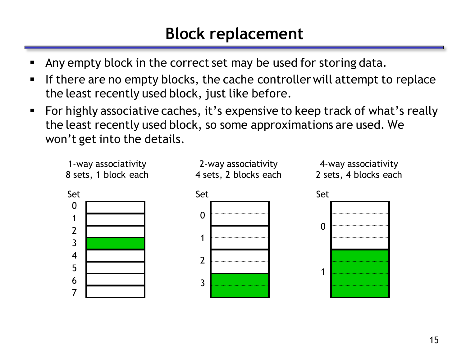#### **Block replacement**

- Any empty block in the correct set may be used for storing data.
- If there are no empty blocks, the cache controller will attempt to replace the least recently used block, just like before.
- For highly associative caches, it's expensive to keep track of what's really the least recently used block, so some approximations are used. We won't get into the details.

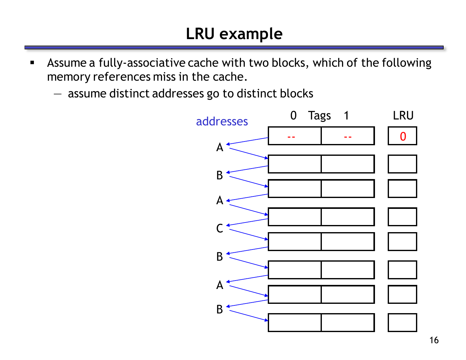- Assume a fully-associative cache with two blocks, which of the following memory references miss in the cache.
	- assume distinct addresses go to distinct blocks

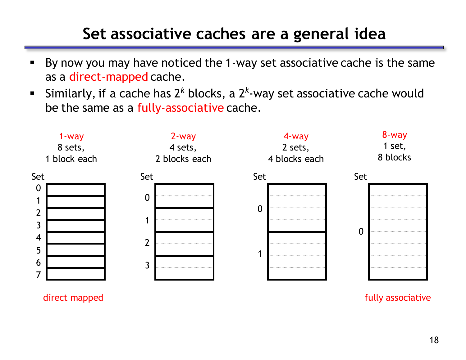#### **Set associative caches are a general idea**

- By now you may have noticed the 1-way set associative cache is the same as a direct-mapped cache.
- Similarly, if a cache has 2<sup>k</sup> blocks, a 2<sup>k</sup>-way set associative cache would be the same as a fully-associative cache.



direct mapped and the set of the set of the set of the set of the set of the set of the set of the set of the set of the set of the set of the set of the set of the set of the set of the set of the set of the set of the se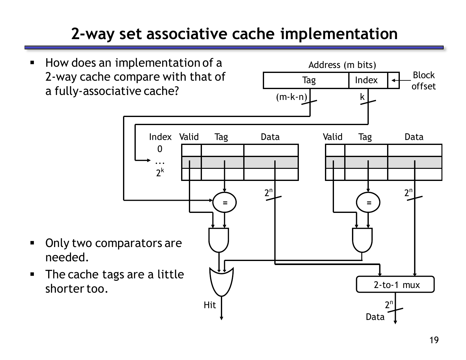## **2-way set associative cache implementation**